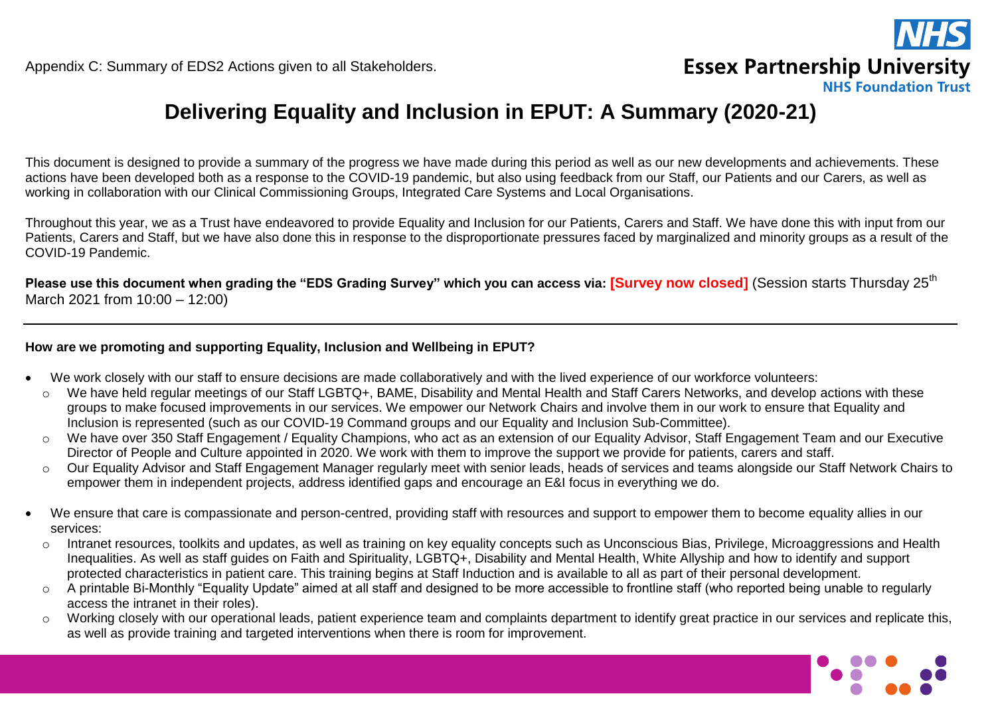

**NHS Foundation Trust** 

## **Delivering Equality and Inclusion in EPUT: A Summary (2020-21)**

This document is designed to provide a summary of the progress we have made during this period as well as our new developments and achievements. These actions have been developed both as a response to the COVID-19 pandemic, but also using feedback from our Staff, our Patients and our Carers, as well as working in collaboration with our Clinical Commissioning Groups, Integrated Care Systems and Local Organisations.

Throughout this year, we as a Trust have endeavored to provide Equality and Inclusion for our Patients, Carers and Staff. We have done this with input from our Patients, Carers and Staff, but we have also done this in response to the disproportionate pressures faced by marginalized and minority groups as a result of the COVID-19 Pandemic.

Please use this document when grading the "EDS Grading Survey" which you can access via: [Survey now closed] (Session starts Thursdav 25<sup>th</sup> March 2021 from 10:00 – 12:00)

### **How are we promoting and supporting Equality, Inclusion and Wellbeing in EPUT?**

- We work closely with our staff to ensure decisions are made collaboratively and with the lived experience of our workforce volunteers:
- o We have held regular meetings of our Staff LGBTQ+, BAME, Disability and Mental Health and Staff Carers Networks, and develop actions with these groups to make focused improvements in our services. We empower our Network Chairs and involve them in our work to ensure that Equality and Inclusion is represented (such as our COVID-19 Command groups and our Equality and Inclusion Sub-Committee).
- o We have over 350 Staff Engagement / Equality Champions, who act as an extension of our Equality Advisor, Staff Engagement Team and our Executive Director of People and Culture appointed in 2020. We work with them to improve the support we provide for patients, carers and staff.
- o Our Equality Advisor and Staff Engagement Manager regularly meet with senior leads, heads of services and teams alongside our Staff Network Chairs to empower them in independent projects, address identified gaps and encourage an E&I focus in everything we do.
- We ensure that care is compassionate and person-centred, providing staff with resources and support to empower them to become equality allies in our services:
- o Intranet resources, toolkits and updates, as well as training on key equality concepts such as Unconscious Bias, Privilege, Microaggressions and Health Inequalities. As well as staff guides on Faith and Spirituality, LGBTQ+, Disability and Mental Health, White Allyship and how to identify and support protected characteristics in patient care. This training begins at Staff Induction and is available to all as part of their personal development.
- o A printable Bi-Monthly "Equality Update" aimed at all staff and designed to be more accessible to frontline staff (who reported being unable to regularly access the intranet in their roles).
- o Working closely with our operational leads, patient experience team and complaints department to identify great practice in our services and replicate this, as well as provide training and targeted interventions when there is room for improvement.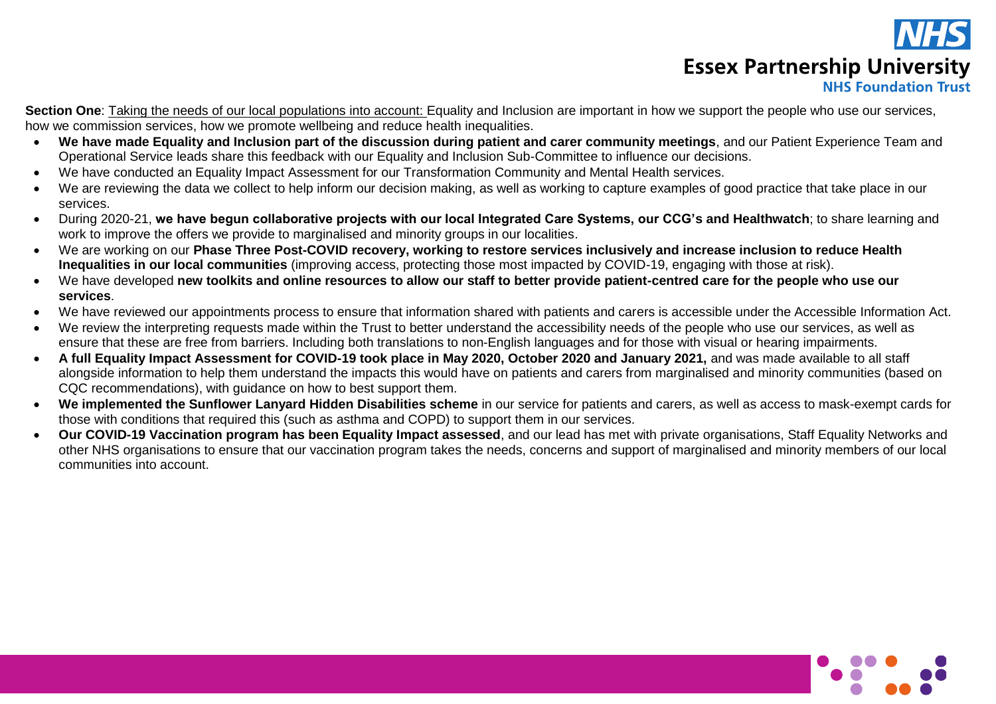

# **Essex Partnership University**

## **NHS Foundation Trust**

**Section One**: Taking the needs of our local populations into account: Equality and Inclusion are important in how we support the people who use our services, how we commission services, how we promote wellbeing and reduce health inequalities.

- **We have made Equality and Inclusion part of the discussion during patient and carer community meetings**, and our Patient Experience Team and Operational Service leads share this feedback with our Equality and Inclusion Sub-Committee to influence our decisions.
- We have conducted an Equality Impact Assessment for our Transformation Community and Mental Health services.
- We are reviewing the data we collect to help inform our decision making, as well as working to capture examples of good practice that take place in our services.
- During 2020-21, **we have begun collaborative projects with our local Integrated Care Systems, our CCG's and Healthwatch**; to share learning and work to improve the offers we provide to marginalised and minority groups in our localities.
- We are working on our **Phase Three Post-COVID recovery, working to restore services inclusively and increase inclusion to reduce Health Inequalities in our local communities** (improving access, protecting those most impacted by COVID-19, engaging with those at risk).
- We have developed **new toolkits and online resources to allow our staff to better provide patient-centred care for the people who use our services**.
- We have reviewed our appointments process to ensure that information shared with patients and carers is accessible under the Accessible Information Act.
- We review the interpreting requests made within the Trust to better understand the accessibility needs of the people who use our services, as well as ensure that these are free from barriers. Including both translations to non-English languages and for those with visual or hearing impairments.
- **A full Equality Impact Assessment for COVID-19 took place in May 2020, October 2020 and January 2021,** and was made available to all staff alongside information to help them understand the impacts this would have on patients and carers from marginalised and minority communities (based on CQC recommendations), with guidance on how to best support them.
- **We implemented the Sunflower Lanyard Hidden Disabilities scheme** in our service for patients and carers, as well as access to mask-exempt cards for those with conditions that required this (such as asthma and COPD) to support them in our services.
- **Our COVID-19 Vaccination program has been Equality Impact assessed**, and our lead has met with private organisations, Staff Equality Networks and other NHS organisations to ensure that our vaccination program takes the needs, concerns and support of marginalised and minority members of our local communities into account.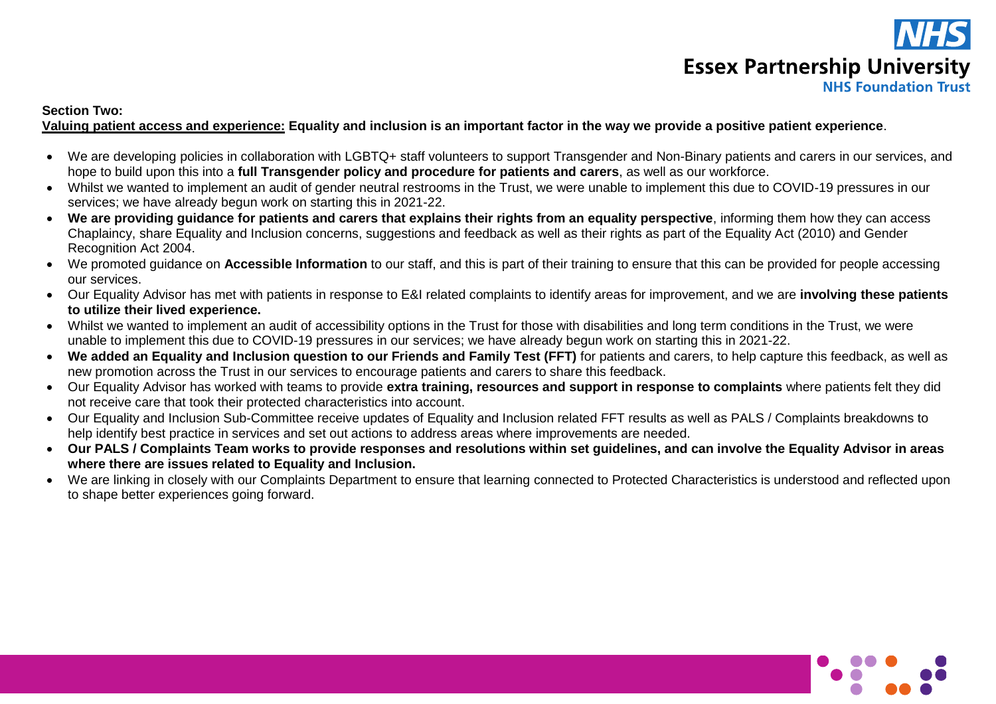

#### **Section Two:**

#### **Valuing patient access and experience: Equality and inclusion is an important factor in the way we provide a positive patient experience**.

- We are developing policies in collaboration with LGBTQ+ staff volunteers to support Transgender and Non-Binary patients and carers in our services, and hope to build upon this into a **full Transgender policy and procedure for patients and carers**, as well as our workforce.
- Whilst we wanted to implement an audit of gender neutral restrooms in the Trust, we were unable to implement this due to COVID-19 pressures in our services; we have already begun work on starting this in 2021-22.
- **We are providing guidance for patients and carers that explains their rights from an equality perspective**, informing them how they can access Chaplaincy, share Equality and Inclusion concerns, suggestions and feedback as well as their rights as part of the Equality Act (2010) and Gender Recognition Act 2004.
- We promoted guidance on **Accessible Information** to our staff, and this is part of their training to ensure that this can be provided for people accessing our services.
- Our Equality Advisor has met with patients in response to E&I related complaints to identify areas for improvement, and we are **involving these patients to utilize their lived experience.**
- Whilst we wanted to implement an audit of accessibility options in the Trust for those with disabilities and long term conditions in the Trust, we were unable to implement this due to COVID-19 pressures in our services; we have already begun work on starting this in 2021-22.
- **We added an Equality and Inclusion question to our Friends and Family Test (FFT)** for patients and carers, to help capture this feedback, as well as new promotion across the Trust in our services to encourage patients and carers to share this feedback.
- Our Equality Advisor has worked with teams to provide **extra training, resources and support in response to complaints** where patients felt they did not receive care that took their protected characteristics into account.
- Our Equality and Inclusion Sub-Committee receive updates of Equality and Inclusion related FFT results as well as PALS / Complaints breakdowns to help identify best practice in services and set out actions to address areas where improvements are needed.
- **Our PALS / Complaints Team works to provide responses and resolutions within set guidelines, and can involve the Equality Advisor in areas where there are issues related to Equality and Inclusion.**
- We are linking in closely with our Complaints Department to ensure that learning connected to Protected Characteristics is understood and reflected upon to shape better experiences going forward.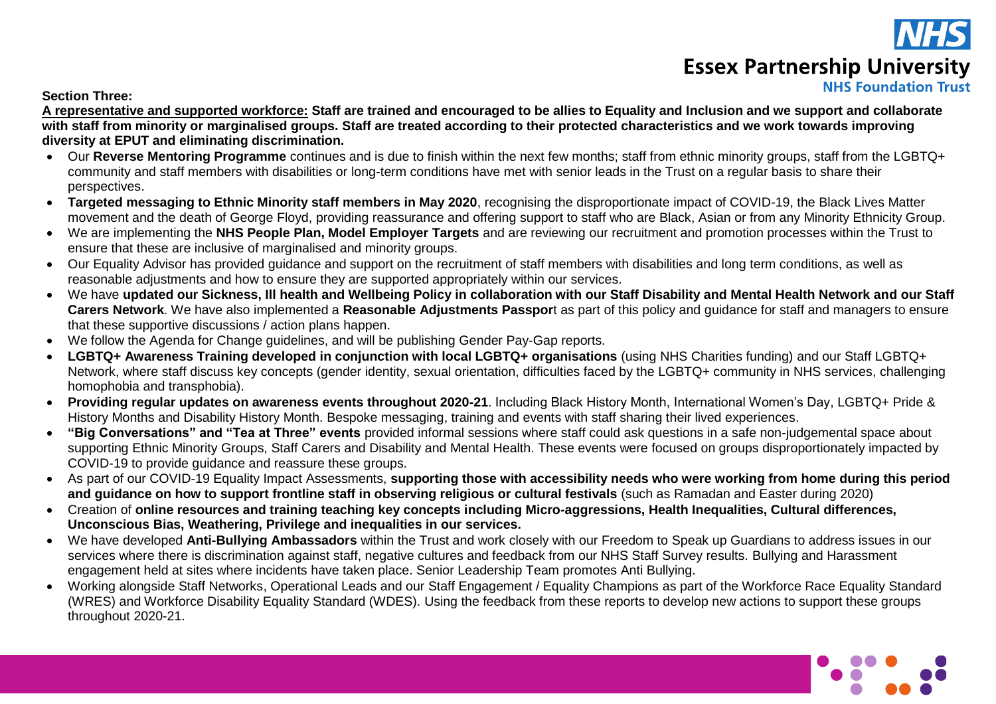

# **Essex Partnership University**

## **NHS Foundation Trust**

**Section Three:**

**A representative and supported workforce: Staff are trained and encouraged to be allies to Equality and Inclusion and we support and collaborate with staff from minority or marginalised groups. Staff are treated according to their protected characteristics and we work towards improving diversity at EPUT and eliminating discrimination.**

- Our **Reverse Mentoring Programme** continues and is due to finish within the next few months; staff from ethnic minority groups, staff from the LGBTQ+ community and staff members with disabilities or long-term conditions have met with senior leads in the Trust on a regular basis to share their perspectives.
- **Targeted messaging to Ethnic Minority staff members in May 2020**, recognising the disproportionate impact of COVID-19, the Black Lives Matter movement and the death of George Floyd, providing reassurance and offering support to staff who are Black, Asian or from any Minority Ethnicity Group.
- We are implementing the **NHS People Plan, Model Employer Targets** and are reviewing our recruitment and promotion processes within the Trust to ensure that these are inclusive of marginalised and minority groups.
- Our Equality Advisor has provided guidance and support on the recruitment of staff members with disabilities and long term conditions, as well as reasonable adjustments and how to ensure they are supported appropriately within our services.
- We have **updated our Sickness, Ill health and Wellbeing Policy in collaboration with our Staff Disability and Mental Health Network and our Staff Carers Network**. We have also implemented a **Reasonable Adjustments Passpor**t as part of this policy and guidance for staff and managers to ensure that these supportive discussions / action plans happen.
- We follow the Agenda for Change guidelines, and will be publishing Gender Pay-Gap reports.
- **LGBTQ+ Awareness Training developed in conjunction with local LGBTQ+ organisations** (using NHS Charities funding) and our Staff LGBTQ+ Network, where staff discuss key concepts (gender identity, sexual orientation, difficulties faced by the LGBTQ+ community in NHS services, challenging homophobia and transphobia).
- **Providing regular updates on awareness events throughout 2020-21**. Including Black History Month, International Women's Day, LGBTQ+ Pride & History Months and Disability History Month. Bespoke messaging, training and events with staff sharing their lived experiences.
- **"Big Conversations" and "Tea at Three" events** provided informal sessions where staff could ask questions in a safe non-judgemental space about supporting Ethnic Minority Groups, Staff Carers and Disability and Mental Health. These events were focused on groups disproportionately impacted by COVID-19 to provide guidance and reassure these groups.
- As part of our COVID-19 Equality Impact Assessments, **supporting those with accessibility needs who were working from home during this period and guidance on how to support frontline staff in observing religious or cultural festivals** (such as Ramadan and Easter during 2020)
- Creation of **online resources and training teaching key concepts including Micro-aggressions, Health Inequalities, Cultural differences, Unconscious Bias, Weathering, Privilege and inequalities in our services.**
- We have developed **Anti-Bullying Ambassadors** within the Trust and work closely with our Freedom to Speak up Guardians to address issues in our services where there is discrimination against staff, negative cultures and feedback from our NHS Staff Survey results. Bullying and Harassment engagement held at sites where incidents have taken place. Senior Leadership Team promotes Anti Bullying.
- Working alongside Staff Networks, Operational Leads and our Staff Engagement / Equality Champions as part of the Workforce Race Equality Standard (WRES) and Workforce Disability Equality Standard (WDES). Using the feedback from these reports to develop new actions to support these groups throughout 2020-21.